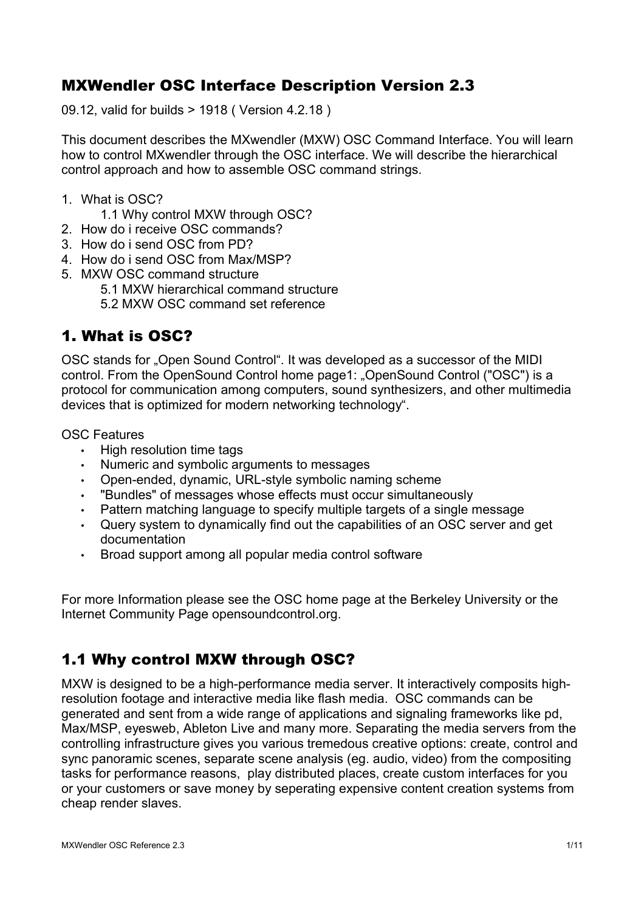# MXWendler OSC Interface Description Version 2.3

09.12, valid for builds > 1918 ( Version 4.2.18 )

This document describes the MXwendler (MXW) OSC Command Interface. You will learn how to control MXwendler through the OSC interface. We will describe the hierarchical control approach and how to assemble OSC command strings.

- 1. What is OSC?
	- 1.1 Why control MXW through OSC?
- 2. How do i receive OSC commands?
- 3. How do i send OSC from PD?
- 4. How do i send OSC from Max/MSP?
- 5. MXW OSC command structure
	- 5.1 MXW hierarchical command structure

5.2 MXW OSC command set reference

## 1. What is OSC?

OSC stands for "Open Sound Control". It was developed as a successor of the MIDI control. From the OpenSound Control home page1: "OpenSound Control ("OSC") is a protocol for communication among computers, sound synthesizers, and other multimedia devices that is optimized for modern networking technology".

OSC Features

- High resolution time tags
- Numeric and symbolic arguments to messages
- Open-ended, dynamic, URL-style symbolic naming scheme
- "Bundles" of messages whose effects must occur simultaneously
- Pattern matching language to specify multiple targets of a single message
- Query system to dynamically find out the capabilities of an OSC server and get documentation
- Broad support among all popular media control software

For more Information please see the OSC home page at the Berkeley University or the Internet Community Page opensoundcontrol.org.

# 1.1 Why control MXW through OSC?

MXW is designed to be a high-performance media server. It interactively composits highresolution footage and interactive media like flash media. OSC commands can be generated and sent from a wide range of applications and signaling frameworks like pd, Max/MSP, eyesweb, Ableton Live and many more. Separating the media servers from the controlling infrastructure gives you various tremedous creative options: create, control and sync panoramic scenes, separate scene analysis (eg. audio, video) from the compositing tasks for performance reasons, play distributed places, create custom interfaces for you or your customers or save money by seperating expensive content creation systems from cheap render slaves.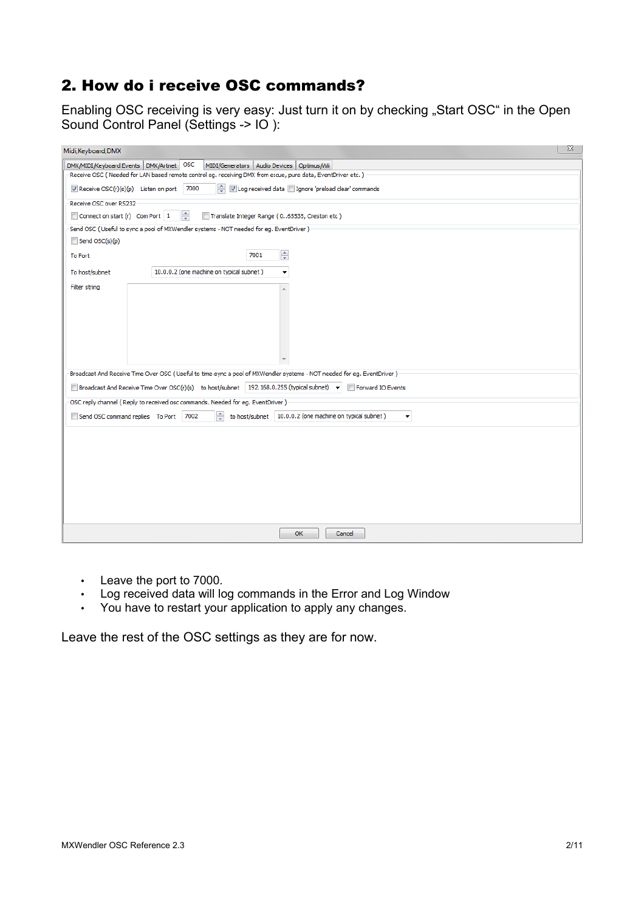# 2. How do i receive OSC commands?

Enabling OSC receiving is very easy: Just turn it on by checking "Start OSC" in the Open Sound Control Panel (Settings -> IO ):

| Midi, Keyboard, DMX                                                                                                     |                                                                                                                    | $\Sigma$ |  |  |
|-------------------------------------------------------------------------------------------------------------------------|--------------------------------------------------------------------------------------------------------------------|----------|--|--|
| OSC<br>DMX/MIDI/Keyboard Events   DMX/Artnet  <br>MIDI/Generators   Audio Devices   Optimus/Wii                         |                                                                                                                    |          |  |  |
| Receive OSC (Needed for LAN based remote control eg. receiving DMX from e:cue, pure data, EventDriver etc.)             |                                                                                                                    |          |  |  |
| ÷<br>√ Log received data □ Ignore 'preload clear' commands<br>Receive OSC(r)(s)(p) Listen on port 7000                  |                                                                                                                    |          |  |  |
| Receive OSC over RS232                                                                                                  |                                                                                                                    |          |  |  |
| ≑<br>Translate Integer Range (065535, Creston etc)<br>Connect on start (r) Com Port 1                                   |                                                                                                                    |          |  |  |
| Send OSC (Useful to sync a pool of MXWendler systems - NOT needed for eq. EventDriver )                                 |                                                                                                                    |          |  |  |
| Send OSC(s)(p)                                                                                                          |                                                                                                                    |          |  |  |
| <b>To Port</b>                                                                                                          | $\div$<br>7001                                                                                                     |          |  |  |
| To host/subnet                                                                                                          | 10.0.0.2 (one machine on typical subnet)<br>▼                                                                      |          |  |  |
| Filter string                                                                                                           |                                                                                                                    |          |  |  |
|                                                                                                                         |                                                                                                                    |          |  |  |
|                                                                                                                         |                                                                                                                    |          |  |  |
|                                                                                                                         |                                                                                                                    |          |  |  |
|                                                                                                                         |                                                                                                                    |          |  |  |
|                                                                                                                         |                                                                                                                    |          |  |  |
| Broadcast And Receive Time Over OSC (Useful to time-sync a pool of MXWendler systems - NOT needed for eg. EventDriver ) |                                                                                                                    |          |  |  |
|                                                                                                                         | ■ Broadcast And Receive Time Over OSC(r)(s) to host/subnet   192.168.0.255 (typical subnet) ▼<br>Forward IO Events |          |  |  |
|                                                                                                                         |                                                                                                                    |          |  |  |
|                                                                                                                         | OSC reply channel (Reply to received osc commands. Needed for eg. EventDriver )                                    |          |  |  |
| Send OSC command replies To Port 7002                                                                                   | ÷<br>to host/subnet   10.0.0.2 (one machine on typical subnet)<br>$\blacktriangledown$                             |          |  |  |
|                                                                                                                         |                                                                                                                    |          |  |  |
|                                                                                                                         |                                                                                                                    |          |  |  |
|                                                                                                                         |                                                                                                                    |          |  |  |
|                                                                                                                         |                                                                                                                    |          |  |  |
|                                                                                                                         |                                                                                                                    |          |  |  |
|                                                                                                                         |                                                                                                                    |          |  |  |
|                                                                                                                         |                                                                                                                    |          |  |  |
| OK<br>Cancel                                                                                                            |                                                                                                                    |          |  |  |

- Leave the port to 7000.
- Log received data will log commands in the Error and Log Window
- You have to restart your application to apply any changes.

Leave the rest of the OSC settings as they are for now.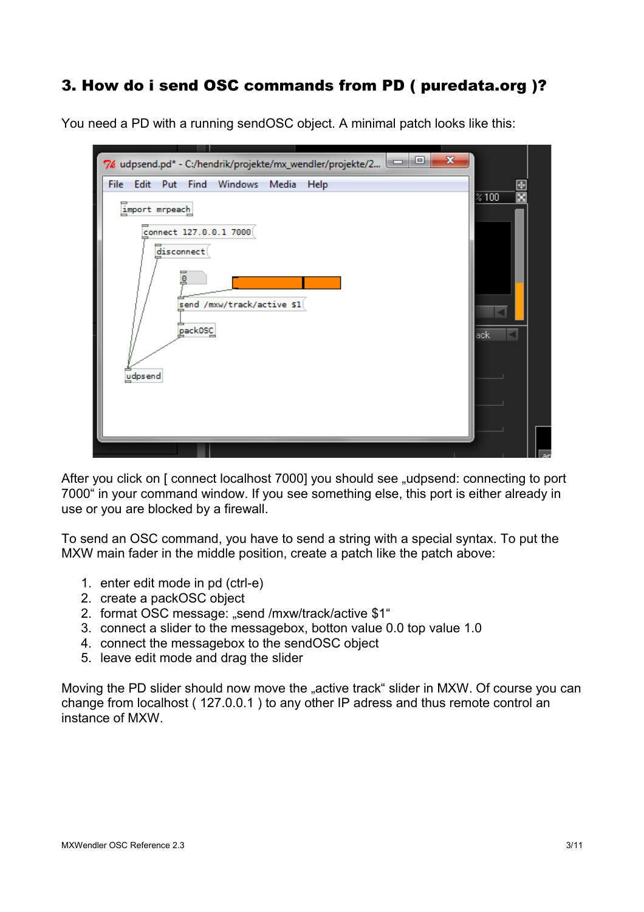# 3. How do i send OSC commands from PD ( puredata.org )?

You need a PD with a running sendOSC object. A minimal patch looks like this:

| $\mathbf{x}$<br>▣<br>I<br>7% udpsend.pd* - C:/hendrik/projekte/mx_wendler/projekte/2                                                                                       |                                 |
|----------------------------------------------------------------------------------------------------------------------------------------------------------------------------|---------------------------------|
| File<br>Edit<br>Put<br>Windows<br>Media<br>Find<br>Help<br>import mrpeach<br>connect 127.0.0.1 7000<br>disconnect<br>₫<br>send /mxw/track/active \$1<br>pack0SC<br>udpsend | $\overline{\approx 100}$<br>ack |
|                                                                                                                                                                            |                                 |

After you click on [ connect localhost 7000] you should see "udpsend: connecting to port 7000" in your command window. If you see something else, this port is either already in use or you are blocked by a firewall.

To send an OSC command, you have to send a string with a special syntax. To put the MXW main fader in the middle position, create a patch like the patch above:

- 1. enter edit mode in pd (ctrl-e)
- 2. create a packOSC object
- 2. format OSC message: "send /mxw/track/active \$1"
- 3. connect a slider to the messagebox, botton value 0.0 top value 1.0
- 4. connect the messagebox to the sendOSC object
- 5. leave edit mode and drag the slider

Moving the PD slider should now move the "active track" slider in MXW. Of course you can change from localhost ( 127.0.0.1 ) to any other IP adress and thus remote control an instance of MXW.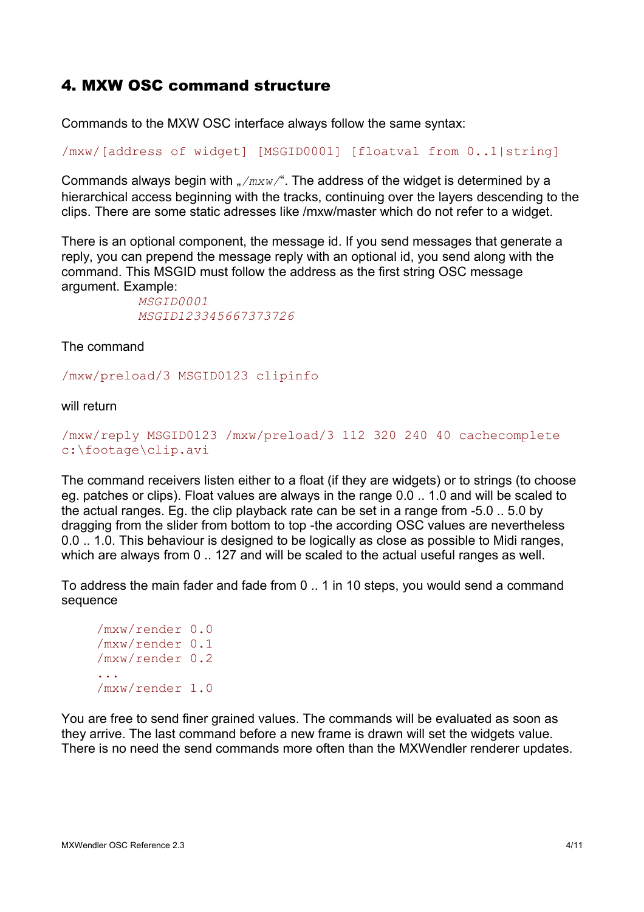## 4. MXW OSC command structure

Commands to the MXW OSC interface always follow the same syntax:

/mxw/[address of widget] [MSGID0001] [floatval from 0..1|string]

Commands always begin with "/mxw/". The address of the widget is determined by a hierarchical access beginning with the tracks, continuing over the layers descending to the clips. There are some static adresses like /mxw/master which do not refer to a widget.

There is an optional component, the message id. If you send messages that generate a reply, you can prepend the message reply with an optional id, you send along with the command. This MSGID must follow the address as the first string OSC message argument. Example:

*MSGID0001 MSGID123345667373726*

The command

/mxw/preload/3 MSGID0123 clipinfo

will return

```
/mxw/reply MSGID0123 /mxw/preload/3 112 320 240 40 cachecomplete
c:\footage\clip.avi
```
The command receivers listen either to a float (if they are widgets) or to strings (to choose eg. patches or clips). Float values are always in the range 0.0 .. 1.0 and will be scaled to the actual ranges. Eg. the clip playback rate can be set in a range from -5.0 .. 5.0 by dragging from the slider from bottom to top -the according OSC values are nevertheless 0.0 .. 1.0. This behaviour is designed to be logically as close as possible to Midi ranges, which are always from 0 .. 127 and will be scaled to the actual useful ranges as well.

To address the main fader and fade from 0 .. 1 in 10 steps, you would send a command sequence

```
/mxw/render 0.0
/mxw/render 0.1
/mxw/render 0.2
/mxw/render 1.0
```
You are free to send finer grained values. The commands will be evaluated as soon as they arrive. The last command before a new frame is drawn will set the widgets value. There is no need the send commands more often than the MXWendler renderer updates.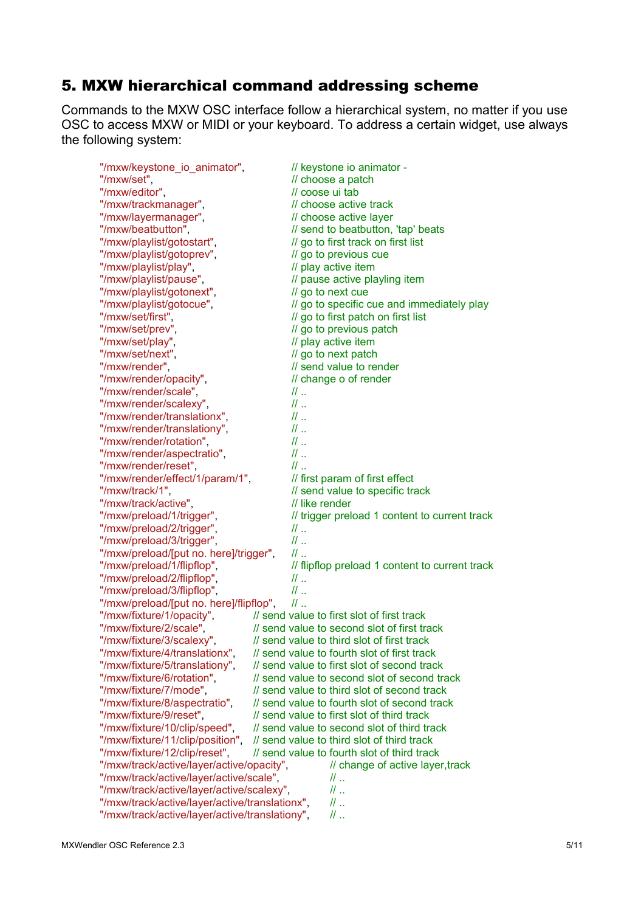# 5. MXW hierarchical command addressing scheme

Commands to the MXW OSC interface follow a hierarchical system, no matter if you use OSC to access MXW or MIDI or your keyboard. To address a certain widget, use always the following system:

| "/mxw/keystone_io_animator",                   | // keystone io animator -                      |
|------------------------------------------------|------------------------------------------------|
| "/mxw/set",                                    | // choose a patch                              |
| "/mxw/editor",                                 | // coose ui tab                                |
| "/mxw/trackmanager",                           | // choose active track                         |
| "/mxw/layermanager",                           | // choose active layer                         |
| "/mxw/beatbutton",                             | // send to beatbutton, 'tap' beats             |
| "/mxw/playlist/gotostart",                     | // go to first track on first list             |
| "/mxw/playlist/gotoprev",                      | // go to previous cue                          |
| "/mxw/playlist/play",                          | // play active item                            |
| "/mxw/playlist/pause",                         | // pause active playling item                  |
| "/mxw/playlist/gotonext",                      | // go to next cue                              |
| "/mxw/playlist/gotocue",                       | // go to specific cue and immediately play     |
| "/mxw/set/first",                              | // go to first patch on first list             |
| "/mxw/set/prev",                               | // go to previous patch                        |
| "/mxw/set/play",                               | // play active item                            |
| "/mxw/set/next",                               | // go to next patch                            |
| "/mxw/render",                                 | // send value to render                        |
| "/mxw/render/opacity",                         | // change o of render                          |
| "/mxw/render/scale",                           | $\mathbb{Z}$ .                                 |
| "/mxw/render/scalexy",                         | $II$                                           |
| "/mxw/render/translationx",                    | $II$                                           |
|                                                |                                                |
| "/mxw/render/translationy",                    | $\mathcal{U}$ .                                |
| "/mxw/render/rotation",                        | $\mathcal{U}$ .                                |
| "/mxw/render/aspectratio",                     | $\mathcal{U}$                                  |
| "/mxw/render/reset",                           | $\mathcal{U}$ .                                |
| "/mxw/render/effect/1/param/1",                | // first param of first effect                 |
| "/mxw/track/1",                                | // send value to specific track                |
| "/mxw/track/active",                           | // like render                                 |
| "/mxw/preload/1/trigger",                      | // trigger preload 1 content to current track  |
| "/mxw/preload/2/trigger",                      | $\mathcal{U}$                                  |
| "/mxw/preload/3/trigger",                      | $\mathcal{U}$ .                                |
| "/mxw/preload/[put no. here]/trigger",         | $II$                                           |
| "/mxw/preload/1/flipflop",                     | // flipflop preload 1 content to current track |
| "/mxw/preload/2/flipflop",                     | $\mathcal{U}$                                  |
| "/mxw/preload/3/flipflop",                     | $\mathcal{U}$ .                                |
| "/mxw/preload/[put no. here]/flipflop",        | $\mathbb{N}$ .                                 |
| "/mxw/fixture/1/opacity",                      | // send value to first slot of first track     |
| "/mxw/fixture/2/scale",                        | // send value to second slot of first track    |
| "/mxw/fixture/3/scalexy",                      | // send value to third slot of first track     |
| "/mxw/fixture/4/translationx",                 | // send value to fourth slot of first track    |
| "/mxw/fixture/5/translationy",                 | // send value to first slot of second track    |
| "/mxw/fixture/6/rotation",                     | // send value to second slot of second track   |
| "/mxw/fixture/7/mode",                         | // send value to third slot of second track    |
| "/mxw/fixture/8/aspectratio",                  | // send value to fourth slot of second track   |
| "/mxw/fixture/9/reset",                        | // send value to first slot of third track     |
| "/mxw/fixture/10/clip/speed",                  | // send value to second slot of third track    |
| "/mxw/fixture/11/clip/position",               | // send value to third slot of third track     |
| "/mxw/fixture/12/clip/reset",                  | // send value to fourth slot of third track    |
| "/mxw/track/active/layer/active/opacity",      | // change of active layer, track               |
| "/mxw/track/active/layer/active/scale",        | $\mathcal{U}$                                  |
| "/mxw/track/active/layer/active/scalexy",      | $\mathcal{U}$                                  |
| "/mxw/track/active/layer/active/translationx", | $\mathbb{N}$                                   |
|                                                |                                                |
| "/mxw/track/active/layer/active/translationy", | $\mathbb{N}$                                   |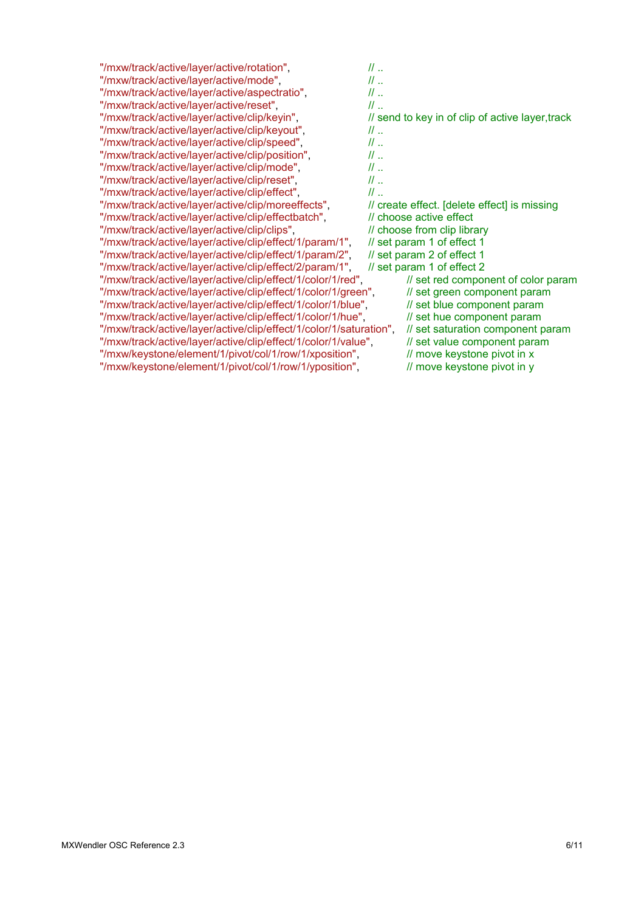| "/mxw/track/active/layer/active/rotation",                         | $II$                                             |
|--------------------------------------------------------------------|--------------------------------------------------|
| "/mxw/track/active/layer/active/mode",                             | $II$                                             |
| "/mxw/track/active/layer/active/aspectratio",                      | $II$                                             |
| "/mxw/track/active/layer/active/reset",                            | $II$                                             |
| "/mxw/track/active/layer/active/clip/keyin",                       | // send to key in of clip of active layer, track |
| "/mxw/track/active/layer/active/clip/keyout",                      | $II$                                             |
| "/mxw/track/active/layer/active/clip/speed",                       | $II$                                             |
| "/mxw/track/active/layer/active/clip/position",                    | $II$                                             |
| "/mxw/track/active/layer/active/clip/mode",                        | $II$                                             |
| "/mxw/track/active/layer/active/clip/reset",                       | $II$                                             |
| "/mxw/track/active/layer/active/clip/effect",                      | $\mathcal{U}$ .                                  |
| "/mxw/track/active/layer/active/clip/moreeffects",                 | // create effect. [delete effect] is missing     |
| "/mxw/track/active/layer/active/clip/effectbatch",                 | // choose active effect                          |
| "/mxw/track/active/layer/active/clip/clips",                       | // choose from clip library                      |
| "/mxw/track/active/layer/active/clip/effect/1/param/1",            | // set param 1 of effect 1                       |
| "/mxw/track/active/layer/active/clip/effect/1/param/2",            | // set param 2 of effect 1                       |
| "/mxw/track/active/layer/active/clip/effect/2/param/1",            | // set param 1 of effect 2                       |
| "/mxw/track/active/layer/active/clip/effect/1/color/1/red",        | // set red component of color param              |
| "/mxw/track/active/layer/active/clip/effect/1/color/1/green",      | // set green component param                     |
| "/mxw/track/active/layer/active/clip/effect/1/color/1/blue",       | // set blue component param                      |
| "/mxw/track/active/layer/active/clip/effect/1/color/1/hue",        | // set hue component param                       |
| "/mxw/track/active/layer/active/clip/effect/1/color/1/saturation", | // set saturation component param                |
| "/mxw/track/active/layer/active/clip/effect/1/color/1/value",      | // set value component param                     |
| "/mxw/keystone/element/1/pivot/col/1/row/1/xposition",             | // move keystone pivot in x                      |
| "/mxw/keystone/element/1/pivot/col/1/row/1/yposition",             | // move keystone pivot in y                      |
|                                                                    |                                                  |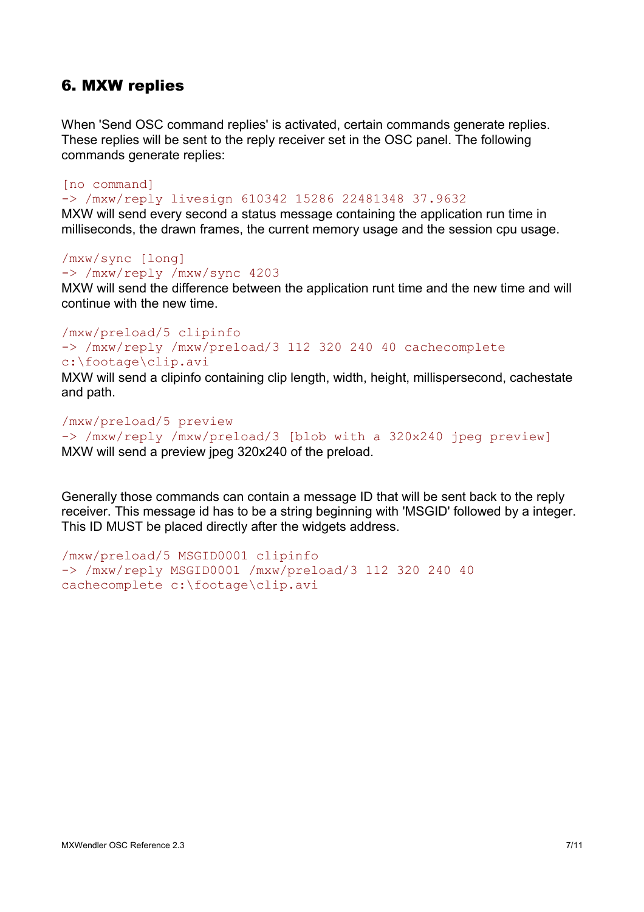## 6. MXW replies

When 'Send OSC command replies' is activated, certain commands generate replies. These replies will be sent to the reply receiver set in the OSC panel. The following commands generate replies:

[no command] -> /mxw/reply livesign 610342 15286 22481348 37.9632 MXW will send every second a status message containing the application run time in

milliseconds, the drawn frames, the current memory usage and the session cpu usage.

/mxw/sync [long] -> /mxw/reply /mxw/sync 4203

MXW will send the difference between the application runt time and the new time and will continue with the new time.

#### /mxw/preload/5 clipinfo -> /mxw/reply /mxw/preload/3 112 320 240 40 cachecomplete c:\footage\clip.avi

MXW will send a clipinfo containing clip length, width, height, millispersecond, cachestate and path.

/mxw/preload/5 preview -> /mxw/reply /mxw/preload/3 [blob with a 320x240 jpeg preview] MXW will send a preview jpeg 320x240 of the preload.

Generally those commands can contain a message ID that will be sent back to the reply receiver. This message id has to be a string beginning with 'MSGID' followed by a integer. This ID MUST be placed directly after the widgets address.

```
/mxw/preload/5 MSGID0001 clipinfo
-> /mxw/reply MSGID0001 /mxw/preload/3 112 320 240 40
cachecomplete c:\footage\clip.avi
```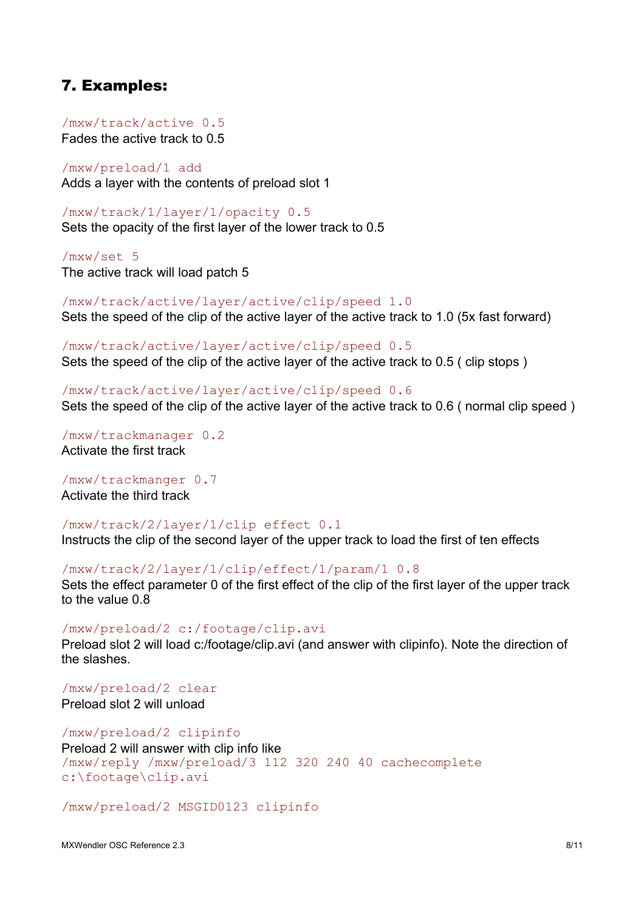## 7. Examples:

/mxw/track/active 0.5 Fades the active track to 0.5

/mxw/preload/1 add Adds a layer with the contents of preload slot 1

/mxw/track/1/layer/1/opacity 0.5 Sets the opacity of the first layer of the lower track to 0.5

/mxw/set 5 The active track will load patch 5

/mxw/track/active/layer/active/clip/speed 1.0 Sets the speed of the clip of the active layer of the active track to 1.0 (5x fast forward)

/mxw/track/active/layer/active/clip/speed 0.5 Sets the speed of the clip of the active layer of the active track to 0.5 ( clip stops )

/mxw/track/active/layer/active/clip/speed 0.6 Sets the speed of the clip of the active layer of the active track to 0.6 ( normal clip speed )

/mxw/trackmanager 0.2 Activate the first track

/mxw/trackmanger 0.7 Activate the third track

/mxw/track/2/layer/1/clip effect 0.1

Instructs the clip of the second layer of the upper track to load the first of ten effects

/mxw/track/2/layer/1/clip/effect/1/param/1 0.8

Sets the effect parameter 0 of the first effect of the clip of the first layer of the upper track to the value 0.8

/mxw/preload/2 c:/footage/clip.avi

Preload slot 2 will load c:/footage/clip.avi (and answer with clipinfo). Note the direction of the slashes.

/mxw/preload/2 clear Preload slot 2 will unload

/mxw/preload/2 clipinfo Preload 2 will answer with clip info like /mxw/reply /mxw/preload/3 112 320 240 40 cachecomplete c:\footage\clip.avi

/mxw/preload/2 MSGID0123 clipinfo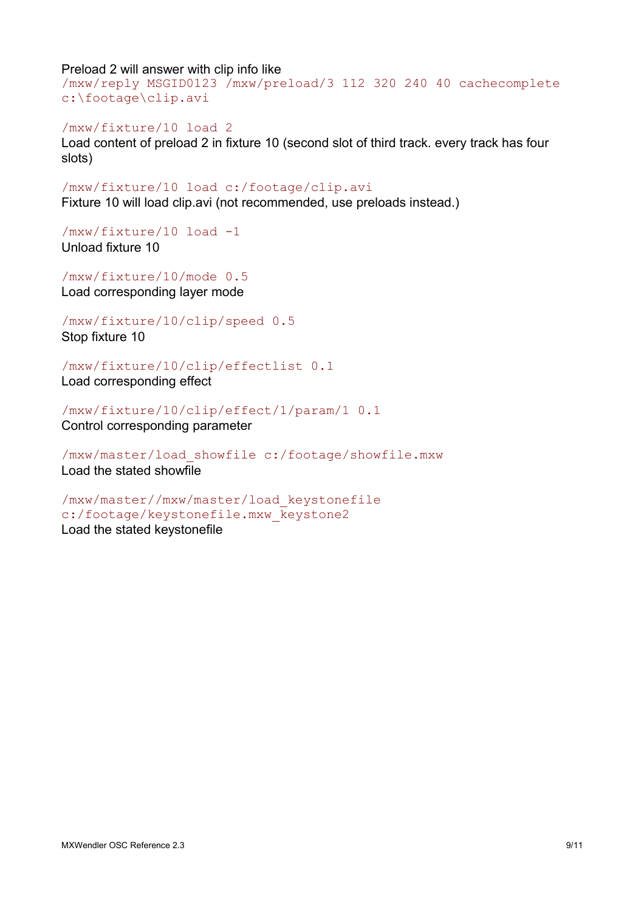Preload 2 will answer with clip info like

/mxw/reply MSGID0123 /mxw/preload/3 112 320 240 40 cachecomplete c:\footage\clip.avi

/mxw/fixture/10 load 2 Load content of preload 2 in fixture 10 (second slot of third track. every track has four slots)

/mxw/fixture/10 load c:/footage/clip.avi Fixture 10 will load clip.avi (not recommended, use preloads instead.)

/mxw/fixture/10 load -1 Unload fixture 10

/mxw/fixture/10/mode 0.5 Load corresponding layer mode

/mxw/fixture/10/clip/speed 0.5 Stop fixture 10

/mxw/fixture/10/clip/effectlist 0.1

Load corresponding effect

/mxw/fixture/10/clip/effect/1/param/1 0.1 Control corresponding parameter

/mxw/master/load\_showfile c:/footage/showfile.mxw Load the stated showfile

/mxw/master//mxw/master/load\_keystonefile c:/footage/keystonefile.mxw\_keystone2 Load the stated keystonefile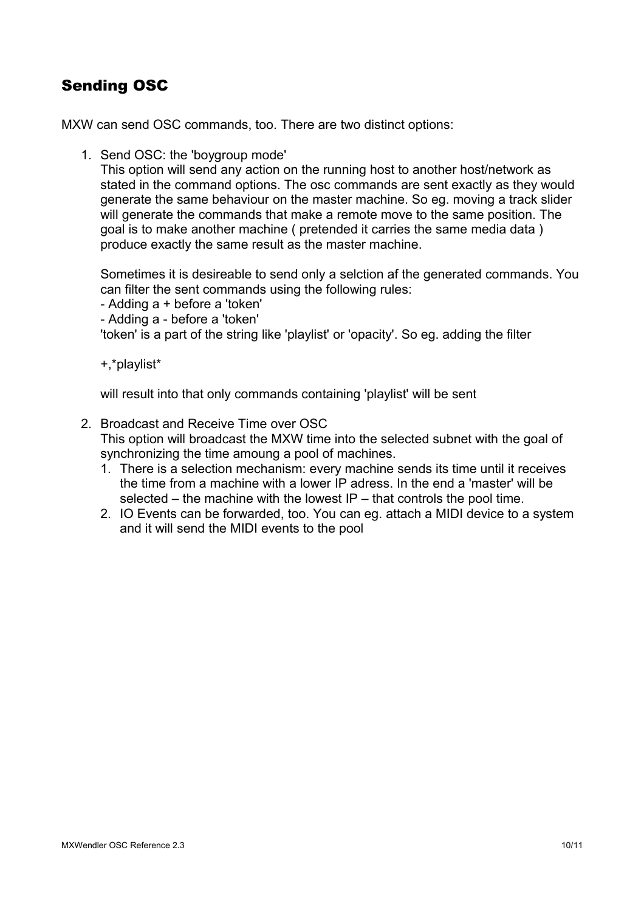# Sending OSC

MXW can send OSC commands, too. There are two distinct options:

1. Send OSC: the 'boygroup mode'

This option will send any action on the running host to another host/network as stated in the command options. The osc commands are sent exactly as they would generate the same behaviour on the master machine. So eg. moving a track slider will generate the commands that make a remote move to the same position. The goal is to make another machine ( pretended it carries the same media data ) produce exactly the same result as the master machine.

Sometimes it is desireable to send only a selction af the generated commands. You can filter the sent commands using the following rules:

- Adding a + before a 'token'
- Adding a before a 'token'

'token' is a part of the string like 'playlist' or 'opacity'. So eg. adding the filter

+,\*playlist\*

will result into that only commands containing 'playlist' will be sent

2. Broadcast and Receive Time over OSC

This option will broadcast the MXW time into the selected subnet with the goal of synchronizing the time amoung a pool of machines.

- 1. There is a selection mechanism: every machine sends its time until it receives the time from a machine with a lower IP adress. In the end a 'master' will be selected – the machine with the lowest IP – that controls the pool time.
- 2. IO Events can be forwarded, too. You can eg. attach a MIDI device to a system and it will send the MIDI events to the pool